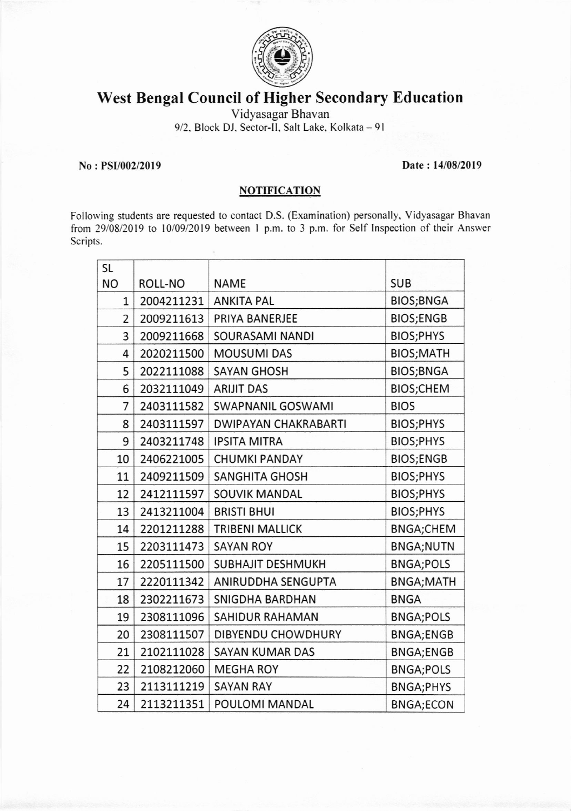

## West Bengal Council of Higher Secondary Education

Vidyasagar Bhavan

9/2, Block DJ, Sector-II, Salt Lake, Kolkata - 91

## No : PSI/002/2019 Date : l4108/2019

## **NOTIFICATION**

Following students are requested to contact D.S. (Examination) personally. Vidyasagar Bhavan from 2910812019 to 1010912019 between I p.m. to 3 p.m. for Self Inspection of their Answer Scripts.

| <b>SL</b>      |            |                             |                  |
|----------------|------------|-----------------------------|------------------|
| <b>NO</b>      | ROLL-NO    | <b>NAME</b>                 | <b>SUB</b>       |
| $\mathbf{1}$   | 2004211231 | <b>ANKITA PAL</b>           | <b>BIOS;BNGA</b> |
| 2              | 2009211613 | PRIYA BANERJEE              | <b>BIOS;ENGB</b> |
| 3              | 2009211668 | SOURASAMI NANDI             | BIOS;PHYS        |
| 4              | 2020211500 | <b>MOUSUMI DAS</b>          | <b>BIOS;MATH</b> |
| 5              | 2022111088 | <b>SAYAN GHOSH</b>          | <b>BIOS;BNGA</b> |
| 6              | 2032111049 | <b>ARIJIT DAS</b>           | <b>BIOS;CHEM</b> |
| $\overline{7}$ | 2403111582 | <b>SWAPNANIL GOSWAMI</b>    | <b>BIOS</b>      |
| 8              | 2403111597 | <b>DWIPAYAN CHAKRABARTI</b> | BIOS; PHYS       |
| 9              | 2403211748 | <b>IPSITA MITRA</b>         | BIOS;PHYS        |
| 10             | 2406221005 | <b>CHUMKI PANDAY</b>        | <b>BIOS;ENGB</b> |
| 11             | 2409211509 | <b>SANGHITA GHOSH</b>       | BIOS;PHYS        |
| 12             | 2412111597 | <b>SOUVIK MANDAL</b>        | BIOS; PHYS       |
| 13             | 2413211004 | <b>BRISTI BHUI</b>          | BIOS;PHYS        |
| 14             | 2201211288 | <b>TRIBENI MALLICK</b>      | <b>BNGA;CHEM</b> |
| 15             | 2203111473 | <b>SAYAN ROY</b>            | <b>BNGA;NUTN</b> |
| 16             | 2205111500 | SUBHAJIT DESHMUKH           | <b>BNGA;POLS</b> |
| 17             | 2220111342 | ANIRUDDHA SENGUPTA          | <b>BNGA;MATH</b> |
| 18             | 2302211673 | SNIGDHA BARDHAN             | <b>BNGA</b>      |
| 19             | 2308111096 | SAHIDUR RAHAMAN             | <b>BNGA;POLS</b> |
| 20             | 2308111507 | <b>DIBYENDU CHOWDHURY</b>   | BNGA;ENGB        |
| 21             | 2102111028 | <b>SAYAN KUMAR DAS</b>      | <b>BNGA;ENGB</b> |
| 22             | 2108212060 | <b>MEGHA ROY</b>            | <b>BNGA;POLS</b> |
| 23             | 2113111219 | <b>SAYAN RAY</b>            | <b>BNGA;PHYS</b> |
| 24             | 2113211351 | POULOMI MANDAL              | <b>BNGA;ECON</b> |